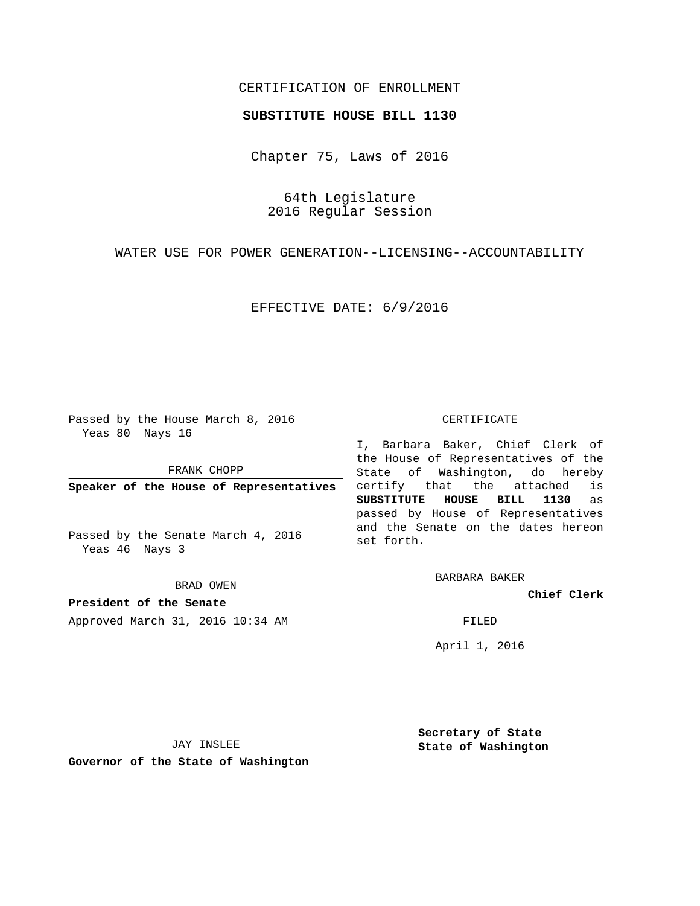## CERTIFICATION OF ENROLLMENT

### **SUBSTITUTE HOUSE BILL 1130**

Chapter 75, Laws of 2016

64th Legislature 2016 Regular Session

WATER USE FOR POWER GENERATION--LICENSING--ACCOUNTABILITY

EFFECTIVE DATE: 6/9/2016

Passed by the House March 8, 2016 Yeas 80 Nays 16

FRANK CHOPP

**Speaker of the House of Representatives**

Passed by the Senate March 4, 2016 Yeas 46 Nays 3

BRAD OWEN

**President of the Senate** Approved March 31, 2016 10:34 AM FILED

#### CERTIFICATE

I, Barbara Baker, Chief Clerk of the House of Representatives of the State of Washington, do hereby certify that the attached is **SUBSTITUTE HOUSE BILL 1130** as passed by House of Representatives and the Senate on the dates hereon set forth.

BARBARA BAKER

**Chief Clerk**

April 1, 2016

JAY INSLEE

**Governor of the State of Washington**

**Secretary of State State of Washington**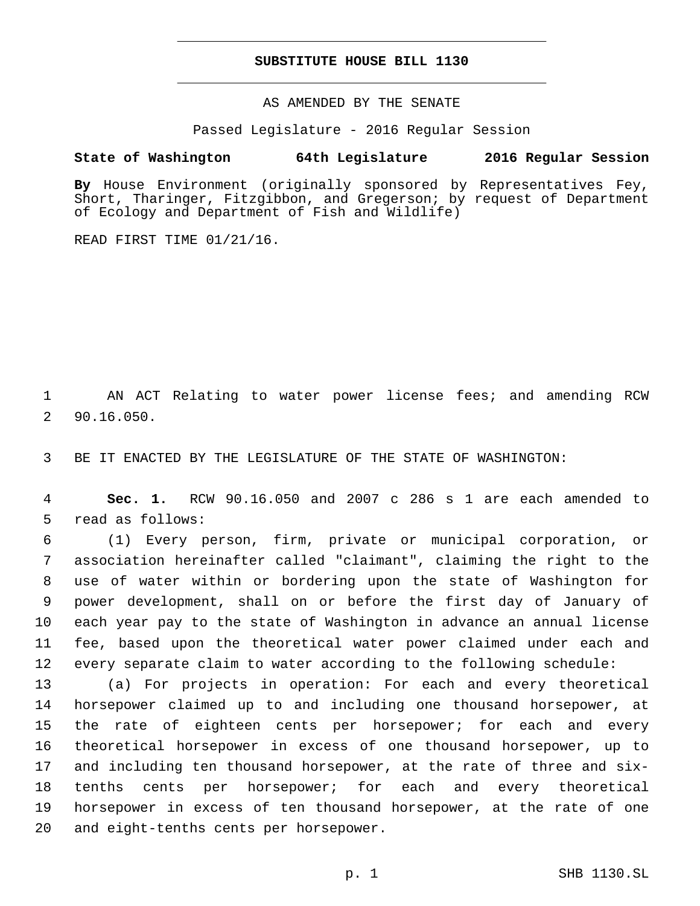### **SUBSTITUTE HOUSE BILL 1130**

AS AMENDED BY THE SENATE

Passed Legislature - 2016 Regular Session

# **State of Washington 64th Legislature 2016 Regular Session**

**By** House Environment (originally sponsored by Representatives Fey, Short, Tharinger, Fitzgibbon, and Gregerson; by request of Department of Ecology and Department of Fish and Wildlife)

READ FIRST TIME 01/21/16.

1 AN ACT Relating to water power license fees; and amending RCW 90.16.050.2

3 BE IT ENACTED BY THE LEGISLATURE OF THE STATE OF WASHINGTON:

4 **Sec. 1.** RCW 90.16.050 and 2007 c 286 s 1 are each amended to 5 read as follows:

 (1) Every person, firm, private or municipal corporation, or association hereinafter called "claimant", claiming the right to the use of water within or bordering upon the state of Washington for power development, shall on or before the first day of January of each year pay to the state of Washington in advance an annual license fee, based upon the theoretical water power claimed under each and every separate claim to water according to the following schedule:

 (a) For projects in operation: For each and every theoretical horsepower claimed up to and including one thousand horsepower, at the rate of eighteen cents per horsepower; for each and every theoretical horsepower in excess of one thousand horsepower, up to and including ten thousand horsepower, at the rate of three and six- tenths cents per horsepower; for each and every theoretical horsepower in excess of ten thousand horsepower, at the rate of one 20 and eight-tenths cents per horsepower.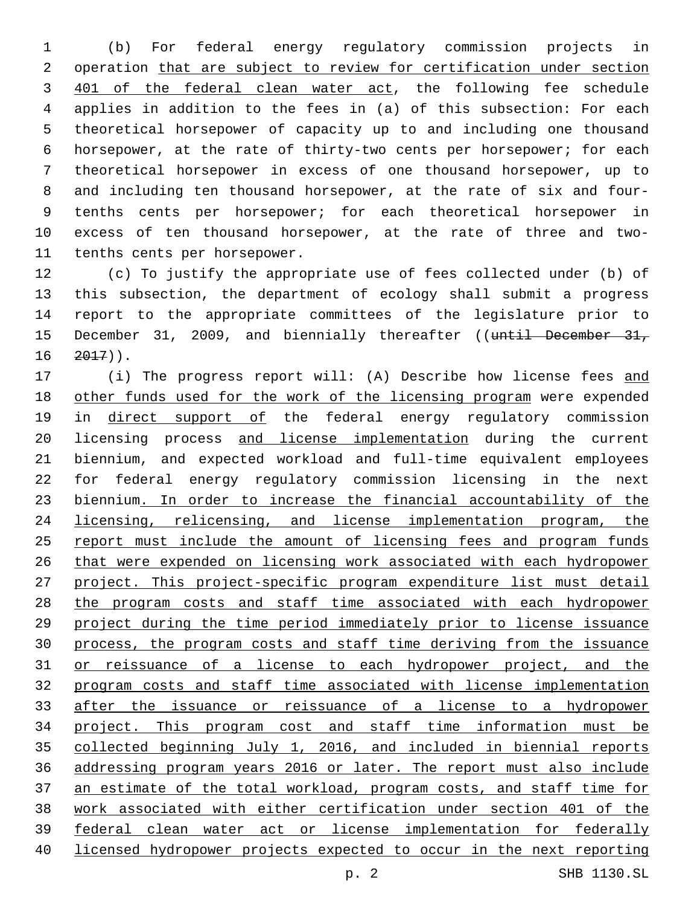(b) For federal energy regulatory commission projects in 2 operation that are subject to review for certification under section 3 401 of the federal clean water act, the following fee schedule applies in addition to the fees in (a) of this subsection: For each theoretical horsepower of capacity up to and including one thousand horsepower, at the rate of thirty-two cents per horsepower; for each theoretical horsepower in excess of one thousand horsepower, up to and including ten thousand horsepower, at the rate of six and four- tenths cents per horsepower; for each theoretical horsepower in excess of ten thousand horsepower, at the rate of three and two-11 tenths cents per horsepower.

 (c) To justify the appropriate use of fees collected under (b) of this subsection, the department of ecology shall submit a progress report to the appropriate committees of the legislature prior to 15 December 31, 2009, and biennially thereafter ((until December 31,  $16 \quad 2017)$ ).

17 (i) The progress report will: (A) Describe how license fees and 18 other funds used for the work of the licensing program were expended 19 in direct support of the federal energy regulatory commission licensing process and license implementation during the current biennium, and expected workload and full-time equivalent employees for federal energy regulatory commission licensing in the next biennium. In order to increase the financial accountability of the licensing, relicensing, and license implementation program, the 25 report must include the amount of licensing fees and program funds that were expended on licensing work associated with each hydropower project. This project-specific program expenditure list must detail the program costs and staff time associated with each hydropower project during the time period immediately prior to license issuance process, the program costs and staff time deriving from the issuance or reissuance of a license to each hydropower project, and the program costs and staff time associated with license implementation 33 after the issuance or reissuance of a license to a hydropower project. This program cost and staff time information must be collected beginning July 1, 2016, and included in biennial reports addressing program years 2016 or later. The report must also include an estimate of the total workload, program costs, and staff time for work associated with either certification under section 401 of the federal clean water act or license implementation for federally licensed hydropower projects expected to occur in the next reporting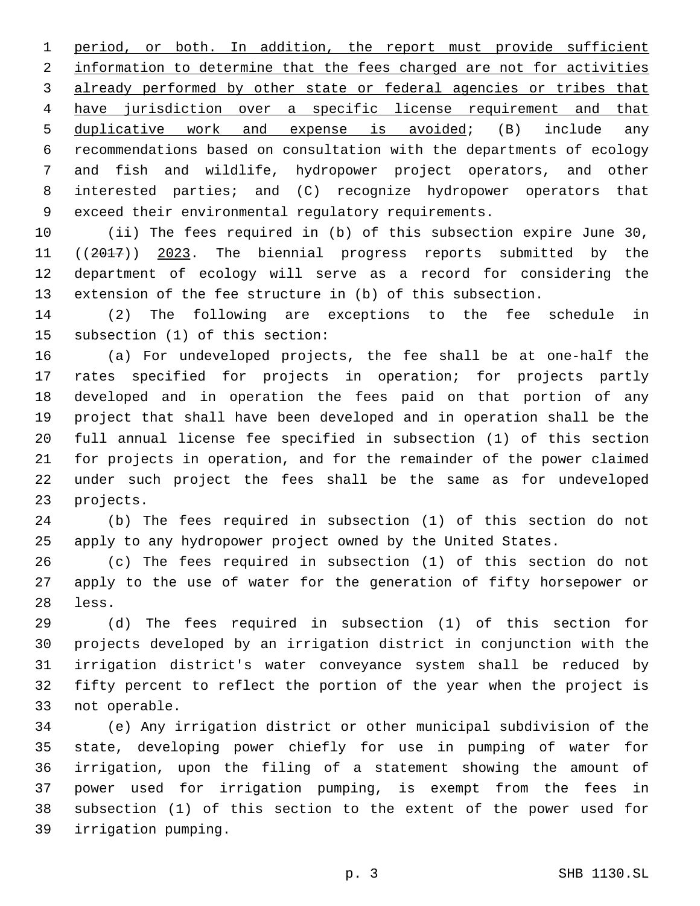period, or both. In addition, the report must provide sufficient information to determine that the fees charged are not for activities already performed by other state or federal agencies or tribes that have jurisdiction over a specific license requirement and that duplicative work and expense is avoided; (B) include any recommendations based on consultation with the departments of ecology and fish and wildlife, hydropower project operators, and other interested parties; and (C) recognize hydropower operators that exceed their environmental regulatory requirements.

 (ii) The fees required in (b) of this subsection expire June 30, ((2017)) 2023. The biennial progress reports submitted by the department of ecology will serve as a record for considering the extension of the fee structure in (b) of this subsection.

 (2) The following are exceptions to the fee schedule in 15 subsection (1) of this section:

 (a) For undeveloped projects, the fee shall be at one-half the rates specified for projects in operation; for projects partly developed and in operation the fees paid on that portion of any project that shall have been developed and in operation shall be the full annual license fee specified in subsection (1) of this section for projects in operation, and for the remainder of the power claimed under such project the fees shall be the same as for undeveloped 23 projects.

 (b) The fees required in subsection (1) of this section do not apply to any hydropower project owned by the United States.

 (c) The fees required in subsection (1) of this section do not apply to the use of water for the generation of fifty horsepower or 28 less.

 (d) The fees required in subsection (1) of this section for projects developed by an irrigation district in conjunction with the irrigation district's water conveyance system shall be reduced by fifty percent to reflect the portion of the year when the project is 33 not operable.

 (e) Any irrigation district or other municipal subdivision of the state, developing power chiefly for use in pumping of water for irrigation, upon the filing of a statement showing the amount of power used for irrigation pumping, is exempt from the fees in subsection (1) of this section to the extent of the power used for irrigation pumping.39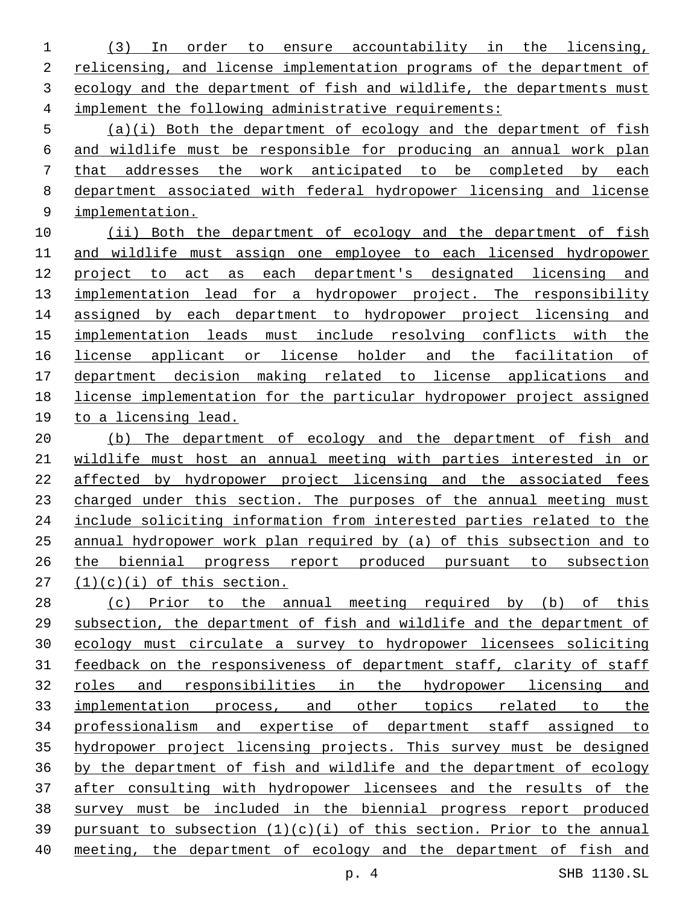(3) In order to ensure accountability in the licensing, 2 relicensing, and license implementation programs of the department of 3 ecology and the department of fish and wildlife, the departments must implement the following administrative requirements:

 (a)(i) Both the department of ecology and the department of fish and wildlife must be responsible for producing an annual work plan that addresses the work anticipated to be completed by each department associated with federal hydropower licensing and license implementation.

10 (ii) Both the department of ecology and the department of fish and wildlife must assign one employee to each licensed hydropower project to act as each department's designated licensing and 13 implementation lead for a hydropower project. The responsibility assigned by each department to hydropower project licensing and implementation leads must include resolving conflicts with the license applicant or license holder and the facilitation of department decision making related to license applications and license implementation for the particular hydropower project assigned to a licensing lead.

20 (b) The department of ecology and the department of fish and wildlife must host an annual meeting with parties interested in or affected by hydropower project licensing and the associated fees charged under this section. The purposes of the annual meeting must include soliciting information from interested parties related to the annual hydropower work plan required by (a) of this subsection and to the biennial progress report produced pursuant to subsection  $(1)(c)(i)$  of this section.

 (c) Prior to the annual meeting required by (b) of this subsection, the department of fish and wildlife and the department of ecology must circulate a survey to hydropower licensees soliciting feedback on the responsiveness of department staff, clarity of staff roles and responsibilities in the hydropower licensing and implementation process, and other topics related to the professionalism and expertise of department staff assigned to hydropower project licensing projects. This survey must be designed by the department of fish and wildlife and the department of ecology after consulting with hydropower licensees and the results of the survey must be included in the biennial progress report produced 39 pursuant to subsection  $(1)(c)(i)$  of this section. Prior to the annual meeting, the department of ecology and the department of fish and